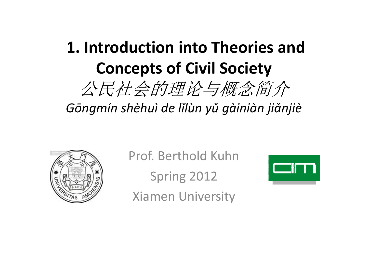### **1. Introduction into Theories and Concepts of Civil Society**公民社会的理论与概念简介

# *Gōngmín shèhuì de lǐlùn yǔ gàiniàn jiǎnjiè*



Prof. Berthold Kuhn

Spring 2012

Xiamen University

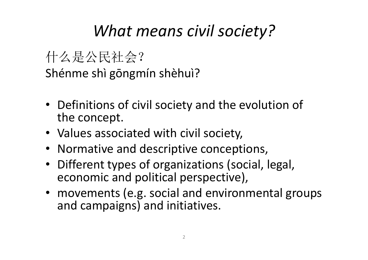#### *What means civil society?*

什么是公民社会?. . . . . Shénme shì gōngmín shèhuì?

- Definitions of civil society and the evolution of the concept.
- Values associated with civil society,
- Normative and descriptive conceptions,
- Different types of organizations (social, legal, economic and political perspective),
- movements (e.g. social and environmental groups and campaigns) and initiatives.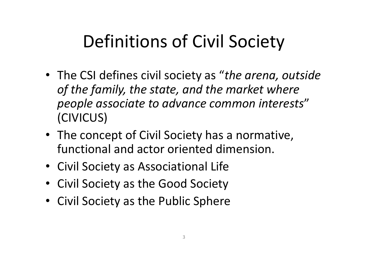### Definitions of Civil Society

- The CSI defines civil society as "*the arena, outside of the family, the state, and the market where people associate to advance common interests*" (CIVICUS)
- The concept of Civil Society has a normative, functional and actor oriented dimension.
- Civil Society as Associational Life
- Civil Society as the Good Society
- Civil Society as the Public Sphere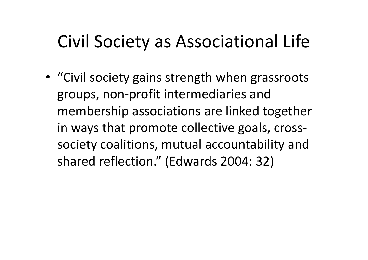### Civil Society as Associational Life

• "Civil society gains strength when grassroots groups, non-profit intermediaries and membership associations are linked together in ways that promote collective goals, crosssociety coalitions, mutual accountability and shared reflection." (Edwards 2004: 32)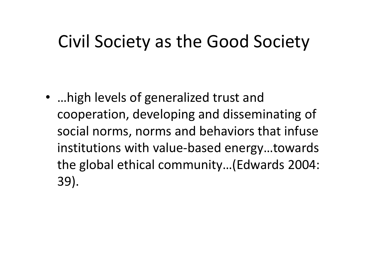### Civil Society as the Good Society

• …high levels of generalized trust and cooperation, developing and disseminating of social norms, norms and behaviors that infuse institutions with value-based energy…towards the global ethical community…(Edwards 2004: 39).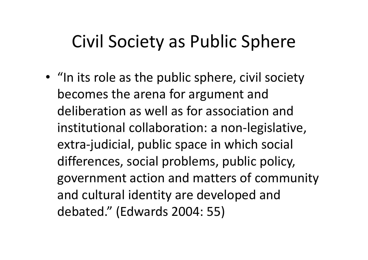### Civil Society as Public Sphere

• "In its role as the public sphere, civil society becomes the arena for argument and deliberation as well as for association and institutional collaboration: a non-legislative, extra-judicial, public space in which social differences, social problems, public policy, government action and matters of community and cultural identity are developed and debated." (Edwards 2004: 55)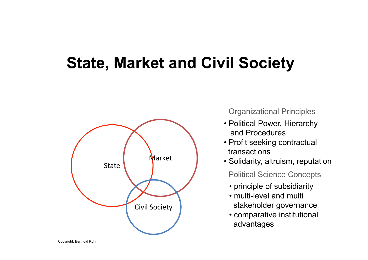#### **State, Market and Civil Society**



Organizational Principles

- Political Power, Hierarchy and Procedures
- Profit seeking contractual transactions
- Solidarity, altruism, reputation

Political Science Concepts

- principle of subsidiarity<br>seculti lavel and multi-
- multi-level and multi stakeholder governance
- comparative institutional advantages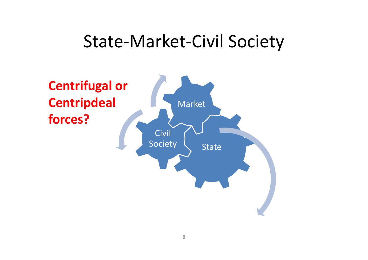#### State-Market-Civil Society

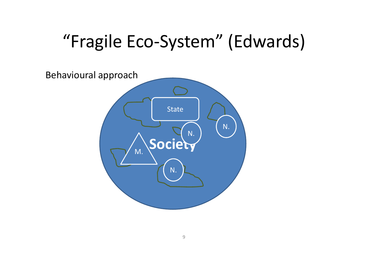## "Fragile Eco-System" (Edwards)

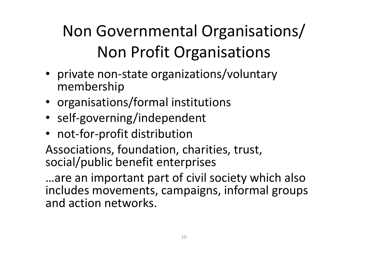### Non Governmental Organisations/Non Profit Organisations

- private non-state organizations/voluntary membership
- organisations/formal institutions
- self-governing/independent
- $\bullet\,$  not-for-profit distribution

Associations, foundation, charities, trust, social/public benefit enterprises

…are an important part of civil society which also includes movements, campaigns, informal groups and action networks.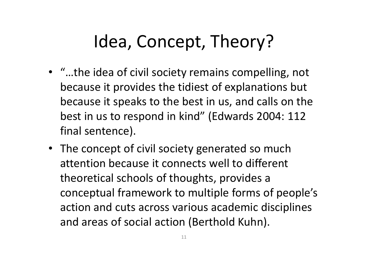### Idea, Concept, Theory?

- "…the idea of civil society remains compelling, not because it provides the tidiest of explanations butbecause it speaks to the best in us, and calls on the best in us to respond in kind" (Edwards 2004: 112 final sentence).
- The concept of civil society generated so much attention because it connects well to different theoretical schools of thoughts, provides a conceptual framework to multiple forms of people's action and cuts across various academic disciplinesand areas of social action (Berthold Kuhn).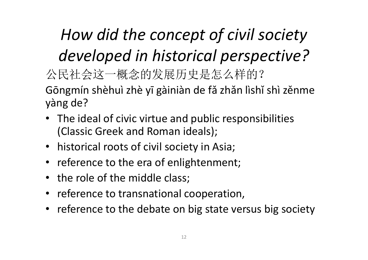*How did the concept of civil society developed in historical perspective?*公民社会这一概念的发展历史是怎么样的?- - - -Gōngmín shèhuì zhè yī gàiniàn de fǎ zhǎn lìshǐ shì zěnme yàng de?

- The ideal of civic virtue and public responsibilities (Classic Greek and Roman ideals);
- historical roots of civil society in Asia;
- reference to the era of enlightenment;
- the role of the middle class;
- reference to transnational cooperation,
- reference to the debate on big state versus big societ y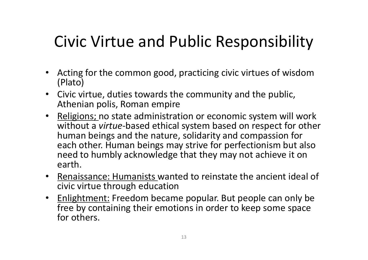### Civic Virtue and Public Responsibility

- Acting for the common good, practicing civic virtues of wisdom (Plato)
- Civic virtue, duties towards the community and the public, Athenian polis, Roman empire
- Religions; no state administration or economic system will work without a *virtue*-based ethical system based on respect for other human beings and the nature, solidarity and compassion for each other. Human beings may strive for perfectionism but also need to humbly acknowledge that they may not achieve it on earth.
- Renaissance: Humanists wanted to reinstate the ancient ideal of civic virtue through education
- Enlightment: Freedom became popular. But people can only be free by containing their emotions in order to keep some space for others.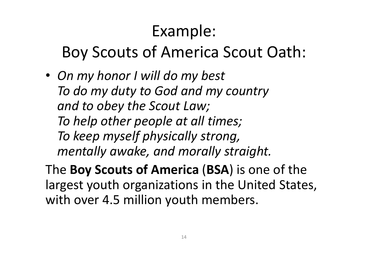### Example:

#### Boy Scouts of America Scout Oath:

• *On my honor I will do my best To do my duty to God and my countryand to obey the Scout Law;To help other people at all times;To keep myself physically strong,mentally awake, and morally straight.*

The **Boy Scouts of America** (**BSA**) is one of the largest youth organizations in the United States, with over 4.5 million youth members.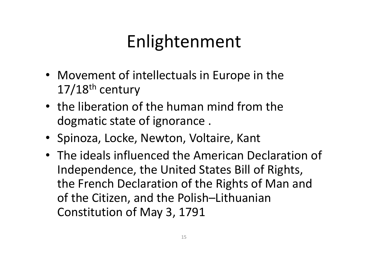## Enlightenment

- Movement of intellectuals in Europe in the 17/18th century
- the liberation of the human mind from the dogmatic state of ignorance .
- Spinoza, Locke, Newton, Voltaire, Kant
- The ideals influenced the American Declaration of Independence, the United States Bill of Rights, the French Declaration of the Rights of Man and of the Citizen, and the Polish–Lithuanian Constitution of May 3, 1791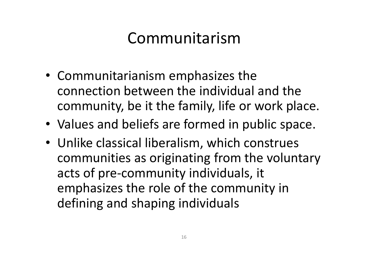#### Communitarism

- Communitarianism emphasizes the connection between the individual and the community, be it the family, life or work place.
- •Values and beliefs are formed in public space.
- Unlike classical liberalism, which construes communities as originating from the voluntary acts of pre-community individuals, it emphasizes the role of the community in defining and shaping individuals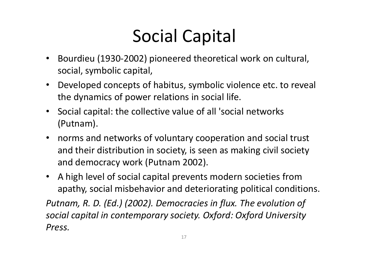## Social Capital

- $\bullet$  Bourdieu (1930-2002) pioneered theoretical work on cultural, social, symbolic capital,
- Developed concepts of habitus, symbolic violence etc. to reveal the dynamics of power relations in social life.
- Social capital: the collective value of all 'social networks (Putnam).
- norms and networks of voluntary cooperation and social trust and their distribution in society, is seen as making civil society and democracy work (Putnam 2002).
- A high level of social capital prevents modern societies from apathy, social misbehavior and deteriorating political conditions.

*Putnam, R. D. (Ed.) (2002). Democracies in flux. The evolution of social capital in contemporary society. Oxford: Oxford University Press.*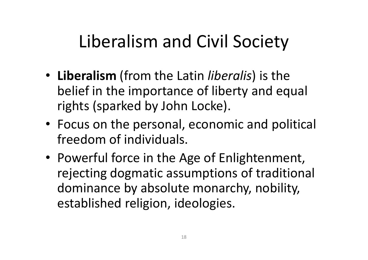### Liberalism and Civil Society

- **Liberalism** (from the Latin *liberalis*) is the belief in the importance of liberty and equal rights (sparked by John Locke).
- Focus on the personal, economic and political freedom of individuals.
- Powerful force in the Age of Enlightenment, rejecting dogmatic assumptions of traditional dominance by absolute monarchy, nobility, established religion, ideologies.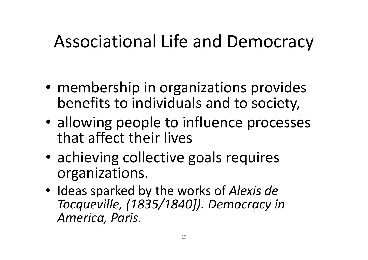### Associational Life and Democracy

- membership in organizations provides benefits to individuals and to society,
- allowing people to influence processes that affect their lives
- achieving collective goals requiresorganizations.
- Ideas sparked by the works of *Alexis de Tocqueville, (1835/1840]). Democracy in America, Paris.*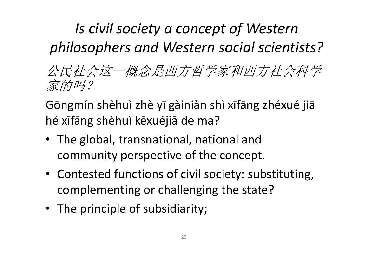#### *Is civil society a concept of Western philosophers and Western social scientists?*

公民社会这一概念是西方哲学家和西方社会科学家的吗?

Gōngmín shèhuì zhè yī gàiniàn shì xīfāng zhéxué jiā hé xīfāng shèhuì kēxuéjiā de ma?

- The global, transnational, national and community perspective of the concept.
- Contested functions of civil society: substituting, complementing or challenging the state?
- The principle of subsidiarity;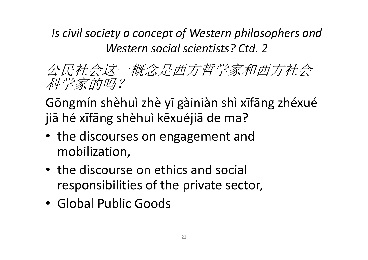*Is civil society a concept of Western philosophers and Western social scientists? Ctd. 2*

公民社会这一概念是西方哲学家和西方社会科学家的吗?

Gōngmín shèhuì zhè yī gàiniàn shì xīfāng zhéxué jiā hé xīfāng shèhuì kēxuéjiā de ma?

- the discourses on engagement and mobilization,
- the discourse on ethics and social responsibilities of the private sector,
- Global Public Goods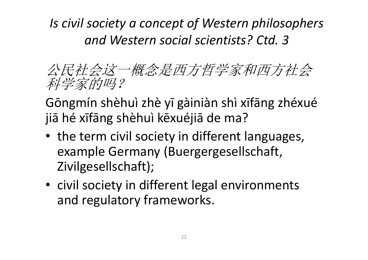*Is civil society a concept of Western philosophers and Western social scientists? Ctd. 3*

公民社会这一概念是西方哲学家和西方社会科学家的吗?

Gōngmín shèhuì zhè yī gàiniàn shì xīfāng zhéxué jiā hé xīfāng shèhuì kēxuéjiā de ma?

- the term civil society in different languages, example Germany (Buergergesellschaft, Zivilgesellschaft);
- civil society in different legal environments and regulatory frameworks.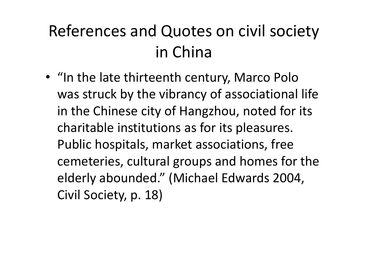### References and Quotes on civil society in China

• "In the late thirteenth century, Marco Polo was struck by the vibrancy of associational life in the Chinese city of Hangzhou, noted for its charitable institutions as for its pleasures. Public hospitals, market associations, free cemeteries, cultural groups and homes for the elderly abounded." (Michael Edwards 2004, Civil Society, p. 18)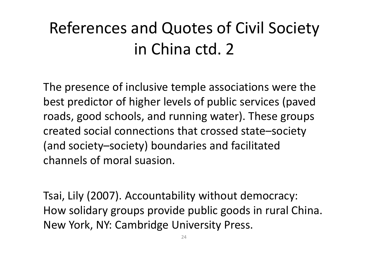### References and Quotes of Civil Society in China ctd. 2

The presence of inclusive temple associations were the best predictor of higher levels of public services (paved roads, good schools, and running water). These groups created social connections that crossed state–society (and society–society) boundaries and facilitated channels of moral suasion.

Tsai, Lily (2007). Accountability without democracy: How solidary groups provide public goods in rural China. New York, NY: Cambridge University Press.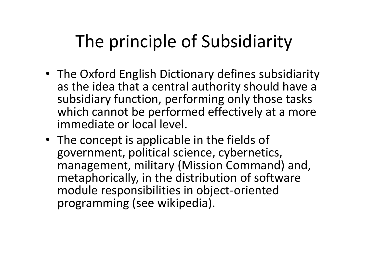### The principle of Subsidiarity

- The Oxford English Dictionary defines subsidiarity as the idea that a central authority should have a subsidiary function, performing only those tasks which cannot be performed effectively at a more immediate or local level.
- The concept is applicable in the fields of government, political science, cybernetics, management, military (Mission Command) and, metaphorically, in the distribution of software module responsibilities in object-oriented programming (see wikipedia).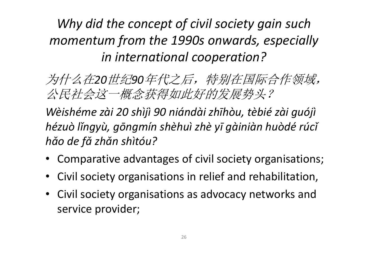#### *Why did the concept of civil society gain such momentum from the 1990s onwards, especially in international cooperation?*

为什么在*20*世纪*90*年代之后,特别在国际合作领域,公民社会这一概念获得如此好的发展势头?

*Wèishéme zài 20 shìjì 90 niándài zhīhòu, tèbié zài guójì hézuòlǐngyù, gōngmín shèhuì zhèyīgàiniàn huòdérúcǐhǎo de fǎ zhǎn shìtóu?*

- Comparative advantages of civil society organisations;
- Civil society organisations in relief and rehabilitation,
- Civil society organisations as advocacy networks andservice provider;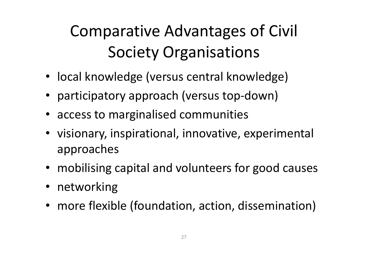### Comparative Advantages of Civil Society Organisations

- local knowledge (versus central knowledge)
- participatory approach (versus top-down)
- access to marginalised communities
- visionary, inspirational, innovative, experimental approaches
- mobilising capital and volunteers for good causes
- networking
- more flexible (foundation, action, dissemination)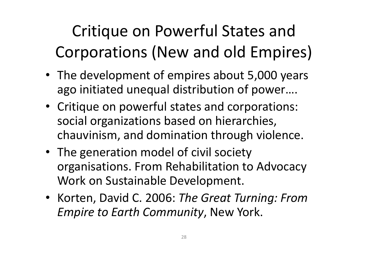Critique on Powerful States and Corporations (New and old Empires)

- The development of empires about 5,000 years ago initiated unequal distribution of power….
- Critique on powerful states and corporations: social organizations based on hierarchies, chauvinism, and domination through violence.
- The generation model of civil society organisations. From Rehabilitation to Advocacy Work on Sustainable Development.
- Korten, David C. 2006: *The Great Turning: From Empire to Earth Community*, New York.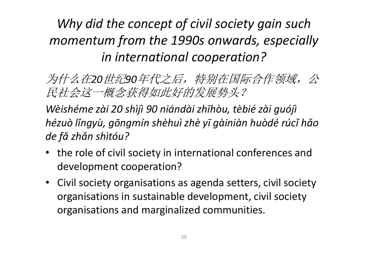#### *Why did the concept of civil society gain such momentum from the 1990s onwards, especially in international cooperation?*

为什么在*20*世纪*90*年代之后,特别在国际合作领域,公民社会这一概念获得如此好的发展势头?

*Wèishéme zài 20 shìjì 90 niándài zhīhòu, tèbié zài guójì hézuò lǐngyù, gōngmín shèhuì zhè yī gàiniàn huòdé rúcǐ hǎo de fǎ zh ǎn shìtóu?*

- the role of civil society in international conferences and development cooperation?
- Civil society organisations as agenda setters, civil society organisations in sustainable development, civil society organisations and marginalized communities.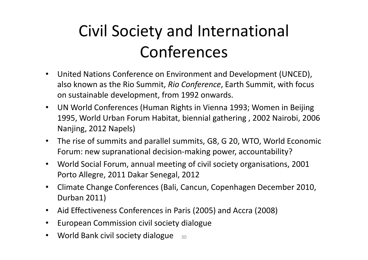### Civil Society and International Conferences

- $\bullet$  United Nations Conference on Environment and Development (UNCED), also known as the Rio Summit, *Rio Conference*, Earth Summit, with focus on sustainable development, from 1992 onwards.
- $\bullet$  UN World Conferences (Human Rights in Vienna 1993; Women in Beijing 1995, World Urban Forum Habitat, biennial gathering , 2002 Nairobi, 2006 Nanjing, 2012 Napels)
- The rise of summits and parallel summits, G8, G 20, WTO, World Economic Forum: new supranational decision-making power, accountability?
- $\bullet$  World Social Forum, annual meeting of civil society organisations, 2001 Porto Allegre, 2011 Dakar Senegal, 2012
- $\bullet$  Climate Change Conferences (Bali, Cancun, Copenhagen December 2010, Durban 2011)
- $\bullet$ Aid Effectiveness Conferences in Paris (2005) and Accra (2008)
- $\bullet$ European Commission civil society dialogue
- $\bullet$ • World Bank civil society dialogue  $_{30}$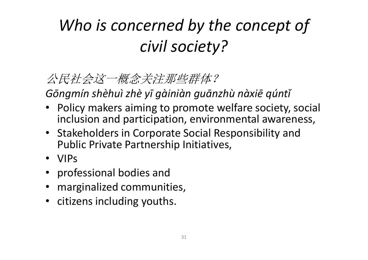### *Who is concerned by the concept of civil society?*

#### 公民社会这一概念关注那些群体?

*Gōngmín shèhuì zhè yī gàiniàn guānzhù nàxiē qúntǐ*

- Policy makers aiming to promote welfare society, social inclusion and participation, environmental awareness,
- Stakeholders in Corporate Social Responsibility and Public Private Partnership Initiatives,
- VIPs
- professional bodies and
- marginalized communities,
- citizens including youths.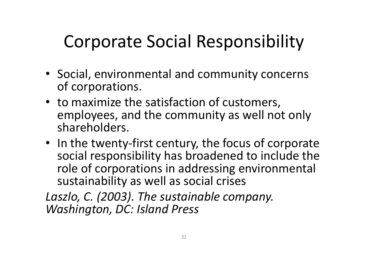### Corporate Social Responsibility

- Social, environmental and community concerns of corporations.
- to maximize the satisfaction of customers, employees, and the community as well not only shareholders.
- In the twenty-first century, the focus of corporate social responsibility has broadened to include the role of corporations in addressing environmental sustainability as well as social crises

*Laszlo, C. (2003). The sustainable company. Washington, DC: Island Press*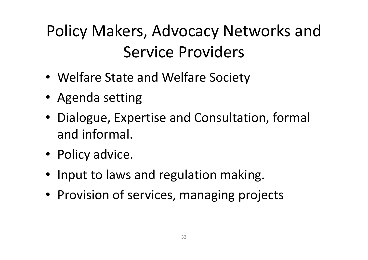### Policy Makers, Advocacy Networks and Service Providers

- Welfare State and Welfare Society
- Agenda setting
- Dialogue, Expertise and Consultation, formal and informal.
- Policy advice.
- Input to laws and regulation making.
- Provision of services, managing projects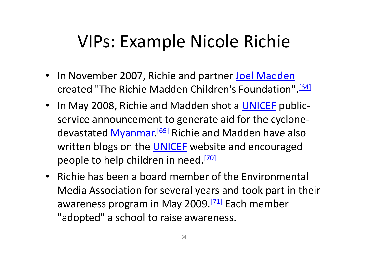### VIPs: Example Nicole Richie

- In November 2007, Richie and partner Joel Madden created "The Richie Madden Children's Foundation".<sup>[64]</sup>
- In May 2008, Richie and Madden shot a **UNICEF** publicservice announcement to generate aid for the cyclonedevastated Myanmar.<sup>[69]</sup> Richie and Madden have also written blogs on the <u>UNICEF</u> website and encouraged people to help children in need.<sup>[70]</sup>
- Richie has been a board member of the Environmental Media Association for several years and took part in their awareness program in May 2009.<sup>[71]</sup> Each member "adopted" a school to raise awareness.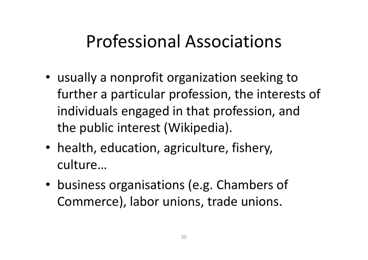### Professional Associations

- usually a nonprofit organization seeking to further a particular profession, the interests of individuals engaged in that profession, and the public interest (Wikipedia).
- health, education, agriculture, fishery, culture…
- business organisations (e.g. Chambers of Commerce), labor unions, trade unions.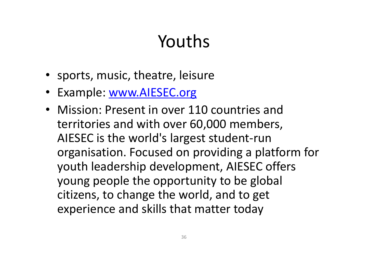## Youths

- sports, music, theatre, leisure
- Example: www.AIESEC.org
- Mission: Present in over 110 countries and territories and with over 60,000 members, AIESEC is the world's largest student-run organisation. Focused on providing a platform for youth leadership development, AIESEC offers young people the opportunity to be global citizens, to change the world, and to get experience and skills that matter today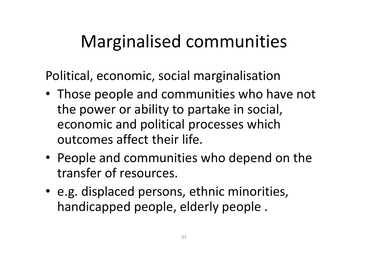### Marginalised communities

Political, economic, social marginalisation

- Those people and communities who have not the power or ability to partake in social, economic and political processes which outcomes affect their life.
- People and communities who depend on the transfer of resources.
- e.g. displaced persons, ethnic minorities, handicapped people, elderly people .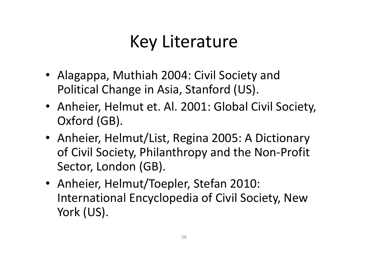### Key Literature

- Alagappa, Muthiah 2004: Civil Society and Political Change in Asia, Stanford (US).
- Anheier, Helmut et. Al. 2001: Global Civil Society, Oxford (GB).
- Anheier, Helmut/List, Regina 2005: A Dictionary of Civil Society, Philanthropy and the Non-Profit Sector, London (GB).
- Anheier, Helmut/Toepler, Stefan 2010: International Encyclopedia of Civil Society, New York (US).